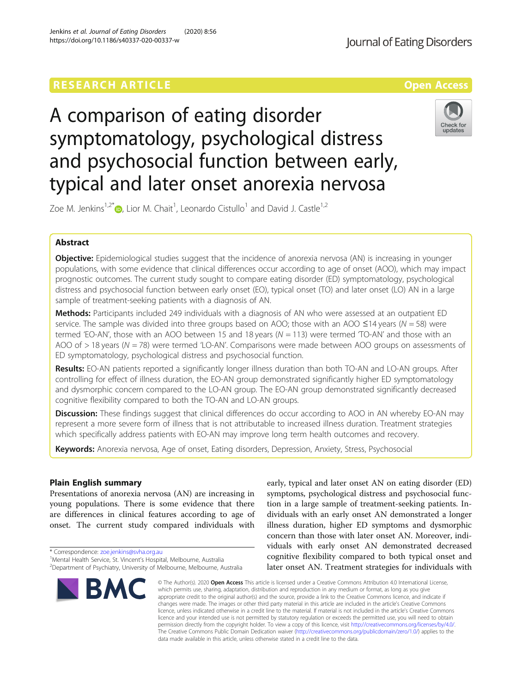# **RESEARCH ARTICLE Example 2018 12:30 THE Open Access**

# A comparison of eating disorder symptomatology, psychological distress and psychosocial function between early, typical and later onset anorexia nervosa

Zoe M. Jenkins<sup>1[,](http://orcid.org/0000-0002-8551-0792)2\*</sup> $\textcircled{\tiny{\textsf{P}}},$  Lior M. Chait<sup>1</sup>, Leonardo Cistullo<sup>1</sup> and David J. Castle<sup>1,2</sup>

# Abstract

**Objective:** Epidemiological studies suggest that the incidence of anorexia nervosa (AN) is increasing in younger populations, with some evidence that clinical differences occur according to age of onset (AOO), which may impact prognostic outcomes. The current study sought to compare eating disorder (ED) symptomatology, psychological distress and psychosocial function between early onset (EO), typical onset (TO) and later onset (LO) AN in a large sample of treatment-seeking patients with a diagnosis of AN.

Methods: Participants included 249 individuals with a diagnosis of AN who were assessed at an outpatient ED service. The sample was divided into three groups based on AOO; those with an AOO  $\leq$ 14 years (N = 58) were termed 'EO-AN', those with an AOO between 15 and 18 years ( $N = 113$ ) were termed 'TO-AN' and those with an AOO of  $> 18$  years (N = 78) were termed 'LO-AN'. Comparisons were made between AOO groups on assessments of ED symptomatology, psychological distress and psychosocial function.

Results: EO-AN patients reported a significantly longer illness duration than both TO-AN and LO-AN groups. After controlling for effect of illness duration, the EO-AN group demonstrated significantly higher ED symptomatology and dysmorphic concern compared to the LO-AN group. The EO-AN group demonstrated significantly decreased cognitive flexibility compared to both the TO-AN and LO-AN groups.

**Discussion:** These findings suggest that clinical differences do occur according to AOO in AN whereby EO-AN may represent a more severe form of illness that is not attributable to increased illness duration. Treatment strategies which specifically address patients with EO-AN may improve long term health outcomes and recovery.

Keywords: Anorexia nervosa, Age of onset, Eating disorders, Depression, Anxiety, Stress, Psychosocial

# Plain English summary

Presentations of anorexia nervosa (AN) are increasing in young populations. There is some evidence that there are differences in clinical features according to age of onset. The current study compared individuals with

\* Correspondence: [zoe.jenkins@svha.org.au](mailto:zoe.jenkins@svha.org.au) <sup>1</sup>

**RM** 

early, typical and later onset AN on eating disorder (ED) symptoms, psychological distress and psychosocial function in a large sample of treatment-seeking patients. Individuals with an early onset AN demonstrated a longer illness duration, higher ED symptoms and dysmorphic concern than those with later onset AN. Moreover, individuals with early onset AN demonstrated decreased cognitive flexibility compared to both typical onset and later onset AN. Treatment strategies for individuals with

© The Author(s), 2020 **Open Access** This article is licensed under a Creative Commons Attribution 4.0 International License, which permits use, sharing, adaptation, distribution and reproduction in any medium or format, as long as you give appropriate credit to the original author(s) and the source, provide a link to the Creative Commons licence, and indicate if changes were made. The images or other third party material in this article are included in the article's Creative Commons licence, unless indicated otherwise in a credit line to the material. If material is not included in the article's Creative Commons licence and your intended use is not permitted by statutory regulation or exceeds the permitted use, you will need to obtain permission directly from the copyright holder. To view a copy of this licence, visit [http://creativecommons.org/licenses/by/4.0/.](http://creativecommons.org/licenses/by/4.0/) The Creative Commons Public Domain Dedication waiver [\(http://creativecommons.org/publicdomain/zero/1.0/](http://creativecommons.org/publicdomain/zero/1.0/)) applies to the data made available in this article, unless otherwise stated in a credit line to the data.

Jenkins et al. Journal of Eating Disorders (2020) 8:56 https://doi.org/10.1186/s40337-020-00337-w







<sup>&</sup>lt;sup>1</sup>Mental Health Service, St. Vincent's Hospital, Melbourne, Australia <sup>2</sup>Department of Psychiatry, University of Melbourne, Melbourne, Australia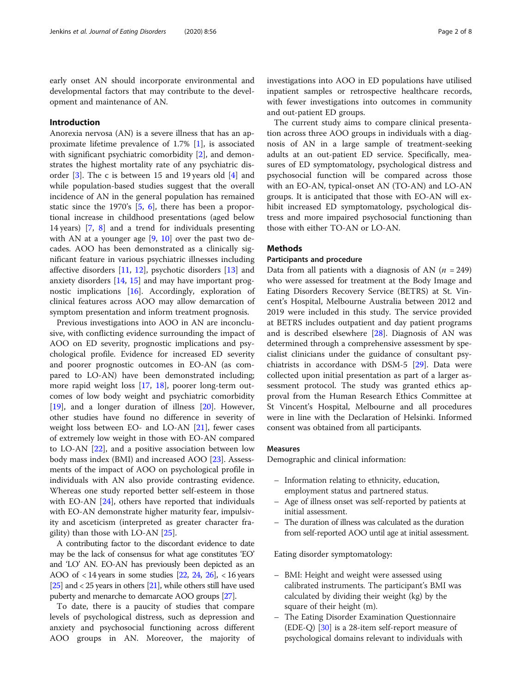early onset AN should incorporate environmental and developmental factors that may contribute to the development and maintenance of AN.

# Introduction

Anorexia nervosa (AN) is a severe illness that has an approximate lifetime prevalence of 1.7% [\[1\]](#page-6-0), is associated with significant psychiatric comorbidity [[2](#page-6-0)], and demonstrates the highest mortality rate of any psychiatric disorder [[3\]](#page-6-0). The c is between 15 and 19 years old [[4\]](#page-6-0) and while population-based studies suggest that the overall incidence of AN in the general population has remained static since the 1970's [\[5](#page-6-0), [6\]](#page-6-0), there has been a proportional increase in childhood presentations (aged below 14 years) [\[7](#page-6-0), [8](#page-6-0)] and a trend for individuals presenting with AN at a younger age [[9,](#page-6-0) [10](#page-6-0)] over the past two decades. AOO has been demonstrated as a clinically significant feature in various psychiatric illnesses including affective disorders [\[11,](#page-6-0) [12\]](#page-6-0), psychotic disorders [[13\]](#page-6-0) and anxiety disorders [[14,](#page-6-0) [15\]](#page-6-0) and may have important prognostic implications [\[16](#page-6-0)]. Accordingly, exploration of clinical features across AOO may allow demarcation of symptom presentation and inform treatment prognosis.

Previous investigations into AOO in AN are inconclusive, with conflicting evidence surrounding the impact of AOO on ED severity, prognostic implications and psychological profile. Evidence for increased ED severity and poorer prognostic outcomes in EO-AN (as compared to LO-AN) have been demonstrated including; more rapid weight loss [\[17](#page-6-0), [18](#page-6-0)], poorer long-term outcomes of low body weight and psychiatric comorbidity [[19\]](#page-6-0), and a longer duration of illness [\[20\]](#page-6-0). However, other studies have found no difference in severity of weight loss between EO- and LO-AN [\[21\]](#page-6-0), fewer cases of extremely low weight in those with EO-AN compared to LO-AN [\[22](#page-6-0)], and a positive association between low body mass index (BMI) and increased AOO [\[23](#page-6-0)]. Assessments of the impact of AOO on psychological profile in individuals with AN also provide contrasting evidence. Whereas one study reported better self-esteem in those with EO-AN [[24\]](#page-6-0), others have reported that individuals with EO-AN demonstrate higher maturity fear, impulsivity and asceticism (interpreted as greater character fragility) than those with  $LO-AN [25]$  $LO-AN [25]$ .

A contributing factor to the discordant evidence to date may be the lack of consensus for what age constitutes 'EO' and 'LO' AN. EO-AN has previously been depicted as an AOO of  $<$  14 years in some studies [\[22,](#page-6-0) [24,](#page-6-0) [26\]](#page-6-0),  $<$  16 years [[25\]](#page-6-0) and < 25 years in others [\[21\]](#page-6-0), while others still have used puberty and menarche to demarcate AOO groups [[27](#page-6-0)].

To date, there is a paucity of studies that compare levels of psychological distress, such as depression and anxiety and psychosocial functioning across different AOO groups in AN. Moreover, the majority of investigations into AOO in ED populations have utilised inpatient samples or retrospective healthcare records, with fewer investigations into outcomes in community and out-patient ED groups.

The current study aims to compare clinical presentation across three AOO groups in individuals with a diagnosis of AN in a large sample of treatment-seeking adults at an out-patient ED service. Specifically, measures of ED symptomatology, psychological distress and psychosocial function will be compared across those with an EO-AN, typical-onset AN (TO-AN) and LO-AN groups. It is anticipated that those with EO-AN will exhibit increased ED symptomatology, psychological distress and more impaired psychosocial functioning than those with either TO-AN or LO-AN.

# **Methods**

# Participants and procedure

Data from all patients with a diagnosis of AN ( $n = 249$ ) who were assessed for treatment at the Body Image and Eating Disorders Recovery Service (BETRS) at St. Vincent's Hospital, Melbourne Australia between 2012 and 2019 were included in this study. The service provided at BETRS includes outpatient and day patient programs and is described elsewhere [\[28\]](#page-6-0). Diagnosis of AN was determined through a comprehensive assessment by specialist clinicians under the guidance of consultant psychiatrists in accordance with DSM-5 [[29\]](#page-6-0). Data were collected upon initial presentation as part of a larger assessment protocol. The study was granted ethics approval from the Human Research Ethics Committee at St Vincent's Hospital, Melbourne and all procedures were in line with the Declaration of Helsinki. Informed consent was obtained from all participants.

## Measures

Demographic and clinical information:

- Information relating to ethnicity, education, employment status and partnered status.
- Age of illness onset was self-reported by patients at initial assessment.
- The duration of illness was calculated as the duration from self-reported AOO until age at initial assessment.

Eating disorder symptomatology:

- BMI: Height and weight were assessed using calibrated instruments. The participant's BMI was calculated by dividing their weight (kg) by the square of their height (m).
- The Eating Disorder Examination Questionnaire (EDE-Q) [\[30\]](#page-6-0) is a 28-item self-report measure of psychological domains relevant to individuals with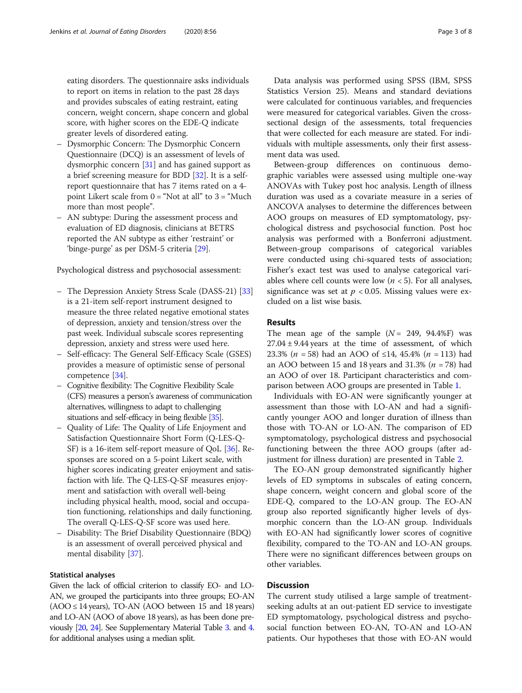eating disorders. The questionnaire asks individuals to report on items in relation to the past 28 days and provides subscales of eating restraint, eating concern, weight concern, shape concern and global score, with higher scores on the EDE-Q indicate greater levels of disordered eating.

- Dysmorphic Concern: The Dysmorphic Concern Questionnaire (DCQ) is an assessment of levels of dysmorphic concern [\[31\]](#page-6-0) and has gained support as a brief screening measure for BDD [[32](#page-6-0)]. It is a selfreport questionnaire that has 7 items rated on a 4 point Likert scale from  $0 = "Not at all"$  to  $3 = "Much$ more than most people".
- AN subtype: During the assessment process and evaluation of ED diagnosis, clinicians at BETRS reported the AN subtype as either 'restraint' or 'binge-purge' as per DSM-5 criteria [\[29\]](#page-6-0).

Psychological distress and psychosocial assessment:

- The Depression Anxiety Stress Scale (DASS-21) [\[33\]](#page-6-0) is a 21-item self-report instrument designed to measure the three related negative emotional states of depression, anxiety and tension/stress over the past week. Individual subscale scores representing depression, anxiety and stress were used here.
- Self-efficacy: The General Self-Efficacy Scale (GSES) provides a measure of optimistic sense of personal competence [\[34\]](#page-6-0).
- Cognitive flexibility: The Cognitive Flexibility Scale (CFS) measures a person's awareness of communication alternatives, willingness to adapt to challenging situations and self-efficacy in being flexible [\[35](#page-6-0)].
- Quality of Life: The Quality of Life Enjoyment and Satisfaction Questionnaire Short Form (Q-LES-Q-SF) is a 16-item self-report measure of QoL [[36](#page-6-0)]. Responses are scored on a 5-point Likert scale, with higher scores indicating greater enjoyment and satisfaction with life. The Q-LES-Q-SF measures enjoyment and satisfaction with overall well-being including physical health, mood, social and occupation functioning, relationships and daily functioning. The overall Q-LES-Q-SF score was used here.
- Disability: The Brief Disability Questionnaire (BDQ) is an assessment of overall perceived physical and mental disability [[37](#page-6-0)].

# Statistical analyses

Given the lack of official criterion to classify EO- and LO-AN, we grouped the participants into three groups; EO-AN  $(AOO \le 14$  years), TO-AN  $(AOO$  between 15 and 18 years) and LO-AN (AOO of above 18 years), as has been done previously [\[20](#page-6-0), [24](#page-6-0)]. See Supplementary Material Table [3](#page-5-0). and [4](#page-5-0). for additional analyses using a median split.

Data analysis was performed using SPSS (IBM, SPSS Statistics Version 25). Means and standard deviations were calculated for continuous variables, and frequencies were measured for categorical variables. Given the crosssectional design of the assessments, total frequencies that were collected for each measure are stated. For individuals with multiple assessments, only their first assessment data was used.

Between-group differences on continuous demographic variables were assessed using multiple one-way ANOVAs with Tukey post hoc analysis. Length of illness duration was used as a covariate measure in a series of ANCOVA analyses to determine the differences between AOO groups on measures of ED symptomatology, psychological distress and psychosocial function. Post hoc analysis was performed with a Bonferroni adjustment. Between-group comparisons of categorical variables were conducted using chi-squared tests of association; Fisher's exact test was used to analyse categorical variables where cell counts were low  $(n < 5)$ . For all analyses, significance was set at  $p < 0.05$ . Missing values were excluded on a list wise basis.

# Results

The mean age of the sample  $(N = 249, 94.4\%)$  was  $27.04 \pm 9.44$  years at the time of assessment, of which 23.3% ( $n = 58$ ) had an AOO of ≤14, 45.4% ( $n = 113$ ) had an AOO between 15 and 18 years and 31.3% ( $n = 78$ ) had an AOO of over 18. Participant characteristics and comparison between AOO groups are presented in Table [1](#page-3-0).

Individuals with EO-AN were significantly younger at assessment than those with LO-AN and had a significantly younger AOO and longer duration of illness than those with TO-AN or LO-AN. The comparison of ED symptomatology, psychological distress and psychosocial functioning between the three AOO groups (after adjustment for illness duration) are presented in Table [2.](#page-4-0)

The EO-AN group demonstrated significantly higher levels of ED symptoms in subscales of eating concern, shape concern, weight concern and global score of the EDE-Q, compared to the LO-AN group. The EO-AN group also reported significantly higher levels of dysmorphic concern than the LO-AN group. Individuals with EO-AN had significantly lower scores of cognitive flexibility, compared to the TO-AN and LO-AN groups. There were no significant differences between groups on other variables.

# **Discussion**

The current study utilised a large sample of treatmentseeking adults at an out-patient ED service to investigate ED symptomatology, psychological distress and psychosocial function between EO-AN, TO-AN and LO-AN patients. Our hypotheses that those with EO-AN would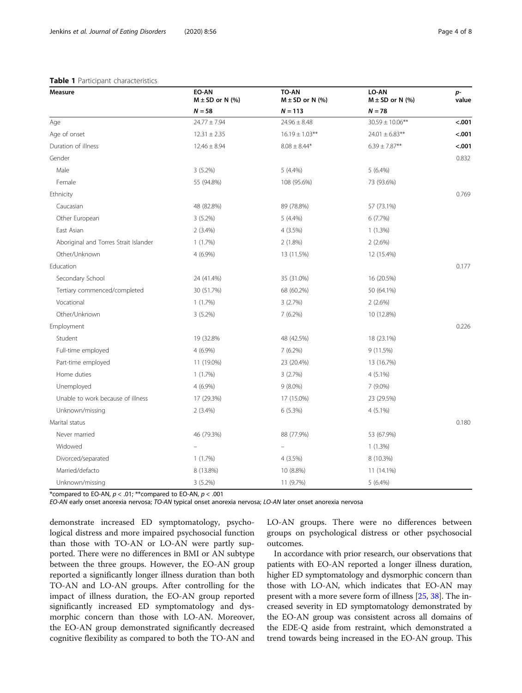# <span id="page-3-0"></span>Table 1 Participant characteristics

| Measure                               | EO-AN<br>$M \pm SD$ or N (%) | TO-AN<br>$M \pm SD$ or N (%) | LO-AN<br>$M \pm SD$ or N (%) | p-<br>value |
|---------------------------------------|------------------------------|------------------------------|------------------------------|-------------|
|                                       | $N = 58$                     | $N = 113$                    | $N = 78$                     |             |
| Age                                   | $24.77 \pm 7.94$             | $24.96 \pm 8.48$             | $30.59 \pm 10.06***$         | $-.001$     |
| Age of onset                          | $12.31 \pm 2.35$             | $16.19 \pm 1.03***$          | $24.01 \pm 6.83$ **          | < .001      |
| Duration of illness                   | $12.46 \pm 8.94$             | $8.08 \pm 8.44*$             | $6.39 \pm 7.87**$            | < .001      |
| Gender                                |                              |                              |                              | 0.832       |
| Male                                  | 3 (5.2%)                     | $5(4.4\%)$                   | $5(6.4\%)$                   |             |
| Female                                | 55 (94.8%)                   | 108 (95.6%)                  | 73 (93.6%)                   |             |
| Ethnicity                             |                              |                              |                              | 0.769       |
| Caucasian                             | 48 (82.8%)                   | 89 (78.8%)                   | 57 (73.1%)                   |             |
| Other European                        | 3(5.2%)                      | $5(4.4\%)$                   | 6(7.7%)                      |             |
| East Asian                            | 2(3.4%)                      | 4 (3.5%)                     | $1(1.3\%)$                   |             |
| Aboriginal and Torres Strait Islander | 1(1.7%)                      | $2(1.8\%)$                   | 2(2.6%)                      |             |
| Other/Unknown                         | 4 (6.9%)                     | 13 (11.5%)                   | 12 (15.4%)                   |             |
| Education                             |                              |                              |                              | 0.177       |
| Secondary School                      | 24 (41.4%)                   | 35 (31.0%)                   | 16 (20.5%)                   |             |
| Tertiary commenced/completed          | 30 (51.7%)                   | 68 (60.2%)                   | 50 (64.1%)                   |             |
| Vocational                            | 1(1.7%)                      | 3(2.7%)                      | 2(2.6%)                      |             |
| Other/Unknown                         | $3(5.2\%)$                   | $7(6.2\%)$                   | 10 (12.8%)                   |             |
| Employment                            |                              |                              |                              | 0.226       |
| Student                               | 19 (32.8%                    | 48 (42.5%)                   | 18 (23.1%)                   |             |
| Full-time employed                    | 4 (6.9%)                     | $7(6.2\%)$                   | 9 (11.5%)                    |             |
| Part-time employed                    | 11 (19.0%)                   | 23 (20.4%)                   | 13 (16.7%)                   |             |
| Home duties                           | 1(1.7%)                      | 3(2.7%)                      | 4 (5.1%)                     |             |
| Unemployed                            | 4 (6.9%)                     | $9(8.0\%)$                   | 7 (9.0%)                     |             |
| Unable to work because of illness     | 17 (29.3%)                   | 17 (15.0%)                   | 23 (29.5%)                   |             |
| Unknown/missing                       | $2(3.4\%)$                   | 6(5.3%)                      | 4 (5.1%)                     |             |
| Marital status                        |                              |                              |                              | 0.180       |
| Never married                         | 46 (79.3%)                   | 88 (77.9%)                   | 53 (67.9%)                   |             |
| Widowed                               |                              |                              | 1(1.3%)                      |             |
| Divorced/separated                    | $1(1.7\%)$                   | $4(3.5\%)$                   | 8 (10.3%)                    |             |
| Married/defacto                       | 8 (13.8%)                    | 10 (8.8%)                    | 11 (14.1%)                   |             |
| Unknown/missing                       | $3(5.2\%)$                   | 11 (9.7%)                    | $5(6.4\%)$                   |             |

\*compared to EO-AN,  $p < .01$ ; \*\*compared to EO-AN,  $p < .001$ 

EO-AN early onset anorexia nervosa; TO-AN typical onset anorexia nervosa; LO-AN later onset anorexia nervosa

demonstrate increased ED symptomatology, psychological distress and more impaired psychosocial function than those with TO-AN or LO-AN were partly supported. There were no differences in BMI or AN subtype between the three groups. However, the EO-AN group reported a significantly longer illness duration than both TO-AN and LO-AN groups. After controlling for the impact of illness duration, the EO-AN group reported significantly increased ED symptomatology and dysmorphic concern than those with LO-AN. Moreover, the EO-AN group demonstrated significantly decreased cognitive flexibility as compared to both the TO-AN and LO-AN groups. There were no differences between groups on psychological distress or other psychosocial outcomes.

In accordance with prior research, our observations that patients with EO-AN reported a longer illness duration, higher ED symptomatology and dysmorphic concern than those with LO-AN, which indicates that EO-AN may present with a more severe form of illness [\[25,](#page-6-0) [38\]](#page-6-0). The increased severity in ED symptomatology demonstrated by the EO-AN group was consistent across all domains of the EDE-Q aside from restraint, which demonstrated a trend towards being increased in the EO-AN group. This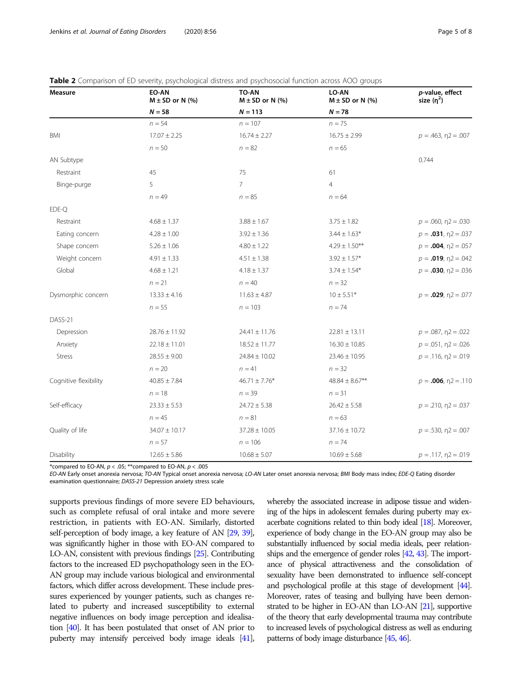| <b>Measure</b>        | EO-AN<br>$M \pm SD$ or N (%) | TO-AN<br>$M \pm SD$ or N (%) | LO-AN<br>$M \pm SD$ or N (%) | p-value, effect<br>size $(n^2)$ |
|-----------------------|------------------------------|------------------------------|------------------------------|---------------------------------|
|                       | $N = 58$                     | $N = 113$                    | $N = 78$                     |                                 |
|                       | $n = 54$                     | $n = 107$                    | $n = 75$                     |                                 |
| <b>BMI</b>            | $17.07 \pm 2.25$             | $16.74 \pm 2.27$             | $16.75 \pm 2.99$             | $p = .463$ , $p = .007$         |
|                       | $n = 50$                     | $n = 82$                     | $n = 65$                     |                                 |
| AN Subtype            |                              |                              |                              | 0.744                           |
| Restraint             | 45                           | 75                           | 61                           |                                 |
| Binge-purge           | 5                            | $\overline{7}$               | $\overline{4}$               |                                 |
|                       | $n = 49$                     | $n = 85$                     | $n = 64$                     |                                 |
| EDE-Q                 |                              |                              |                              |                                 |
| Restraint             | $4.68 \pm 1.37$              | $3.88 \pm 1.67$              | $3.75 \pm 1.82$              | $p = 0.060$ , $n = 0.030$       |
| Eating concern        | $4.28 \pm 1.00$              | $3.92 \pm 1.36$              | $3.44 \pm 1.63*$             | $p = .031$ , $n2 = .037$        |
| Shape concern         | $5.26 \pm 1.06$              | $4.80 \pm 1.22$              | $4.29 \pm 1.50***$           | $p = .004$ , $n2 = .057$        |
| Weight concern        | $4.91 \pm 1.33$              | $4.51 \pm 1.38$              | $3.92 \pm 1.57*$             | $p = .019$ , $n = .042$         |
| Global                | $4.68 \pm 1.21$              | $4.18 \pm 1.37$              | $3.74 \pm 1.54*$             | $p = .030, \eta2 = .036$        |
|                       | $n = 21$                     | $n = 40$                     | $n = 32$                     |                                 |
| Dysmorphic concern    | $13.33 \pm 4.16$             | $11.63 \pm 4.87$             | $10 \pm 5.51*$               | $p = .029, \eta2 = .077$        |
|                       | $n = 55$                     | $n = 103$                    | $n = 74$                     |                                 |
| DASS-21               |                              |                              |                              |                                 |
| Depression            | $28.76 \pm 11.92$            | $24.41 \pm 11.76$            | $22.81 \pm 13.11$            | $p = 0.087$ , $n = 0.022$       |
| Anxiety               | $22.18 \pm 11.01$            | $18.52 \pm 11.77$            | $16.30 \pm 10.85$            | $p = 0.051$ , $p = 0.026$       |
| <b>Stress</b>         | $28.55 \pm 9.00$             | $24.84 \pm 10.02$            | $23.46 \pm 10.95$            | $p = 0.116$ , $p = 0.019$       |
|                       | $n = 20$                     | $n = 41$                     | $n = 32$                     |                                 |
| Cognitive flexibility | $40.85 \pm 7.84$             | $46.71 \pm 7.76*$            | $48.84 \pm 8.67***$          | $p = .006$ , $n = .110$         |
|                       | $n = 18$                     | $n = 39$                     | $n = 31$                     |                                 |
| Self-efficacy         | $23.33 \pm 5.53$             | $24.72 \pm 5.38$             | $26.42 \pm 5.58$             | $p = 0.210$ , $p = 0.037$       |
|                       | $n = 45$                     | $n = 81$                     | $n = 63$                     |                                 |
| Quality of life       | $34.07 \pm 10.17$            | $37.28 \pm 10.05$            | $37.16 \pm 10.72$            | $p = .530, \eta2 = .007$        |
|                       | $n = 57$                     | $n = 106$                    | $n = 74$                     |                                 |
| Disability            | $12.65 \pm 5.86$             | $10.68 \pm 5.07$             | $10.69 \pm 5.68$             | $p = 0.117$ , $p = 0.019$       |

<span id="page-4-0"></span>

\*compared to EO-AN,  $p < .05$ ; \*\*compared to EO-AN,  $p < .005$ 

EO-AN Early onset anorexia nervosa; TO-AN Typical onset anorexia nervosa; LO-AN Later onset anorexia nervosa; BMI Body mass index; EDE-Q Eating disorder examination questionnaire; DASS-21 Depression anxiety stress scale

supports previous findings of more severe ED behaviours, such as complete refusal of oral intake and more severe restriction, in patients with EO-AN. Similarly, distorted self-perception of body image, a key feature of AN [\[29,](#page-6-0) [39\]](#page-6-0), was significantly higher in those with EO-AN compared to LO-AN, consistent with previous findings [\[25](#page-6-0)]. Contributing factors to the increased ED psychopathology seen in the EO-AN group may include various biological and environmental factors, which differ across development. These include pressures experienced by younger patients, such as changes related to puberty and increased susceptibility to external negative influences on body image perception and idealisation [[40\]](#page-6-0). It has been postulated that onset of AN prior to puberty may intensify perceived body image ideals [\[41\]](#page-6-0), whereby the associated increase in adipose tissue and widening of the hips in adolescent females during puberty may exacerbate cognitions related to thin body ideal [\[18\]](#page-6-0). Moreover, experience of body change in the EO-AN group may also be substantially influenced by social media ideals, peer relationships and the emergence of gender roles [\[42,](#page-6-0) [43](#page-6-0)]. The importance of physical attractiveness and the consolidation of sexuality have been demonstrated to influence self-concept and psychological profile at this stage of development [[44\]](#page-6-0). Moreover, rates of teasing and bullying have been demonstrated to be higher in EO-AN than LO-AN [\[21](#page-6-0)], supportive of the theory that early developmental trauma may contribute to increased levels of psychological distress as well as enduring patterns of body image disturbance [\[45,](#page-6-0) [46](#page-6-0)].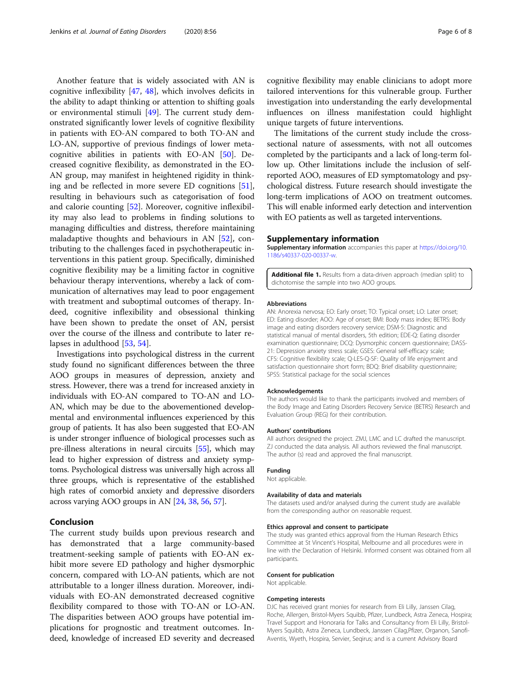<span id="page-5-0"></span>Another feature that is widely associated with AN is cognitive inflexibility [[47,](#page-7-0) [48\]](#page-7-0), which involves deficits in the ability to adapt thinking or attention to shifting goals or environmental stimuli [[49\]](#page-7-0). The current study demonstrated significantly lower levels of cognitive flexibility in patients with EO-AN compared to both TO-AN and LO-AN, supportive of previous findings of lower metacognitive abilities in patients with EO-AN [\[50\]](#page-7-0). Decreased cognitive flexibility, as demonstrated in the EO-AN group, may manifest in heightened rigidity in thinking and be reflected in more severe ED cognitions [\[51](#page-7-0)], resulting in behaviours such as categorisation of food and calorie counting [[52\]](#page-7-0). Moreover, cognitive inflexibility may also lead to problems in finding solutions to managing difficulties and distress, therefore maintaining maladaptive thoughts and behaviours in AN [[52](#page-7-0)], contributing to the challenges faced in psychotherapeutic interventions in this patient group. Specifically, diminished cognitive flexibility may be a limiting factor in cognitive behaviour therapy interventions, whereby a lack of communication of alternatives may lead to poor engagement with treatment and suboptimal outcomes of therapy. Indeed, cognitive inflexibility and obsessional thinking have been shown to predate the onset of AN, persist over the course of the illness and contribute to later relapses in adulthood [\[53](#page-7-0), [54\]](#page-7-0).

Investigations into psychological distress in the current study found no significant differences between the three AOO groups in measures of depression, anxiety and stress. However, there was a trend for increased anxiety in individuals with EO-AN compared to TO-AN and LO-AN, which may be due to the abovementioned developmental and environmental influences experienced by this group of patients. It has also been suggested that EO-AN is under stronger influence of biological processes such as pre-illness alterations in neural circuits [\[55\]](#page-7-0), which may lead to higher expression of distress and anxiety symptoms. Psychological distress was universally high across all three groups, which is representative of the established high rates of comorbid anxiety and depressive disorders across varying AOO groups in AN [[24](#page-6-0), [38,](#page-6-0) [56,](#page-7-0) [57](#page-7-0)].

# Conclusion

The current study builds upon previous research and has demonstrated that a large community-based treatment-seeking sample of patients with EO-AN exhibit more severe ED pathology and higher dysmorphic concern, compared with LO-AN patients, which are not attributable to a longer illness duration. Moreover, individuals with EO-AN demonstrated decreased cognitive flexibility compared to those with TO-AN or LO-AN. The disparities between AOO groups have potential implications for prognostic and treatment outcomes. Indeed, knowledge of increased ED severity and decreased cognitive flexibility may enable clinicians to adopt more tailored interventions for this vulnerable group. Further investigation into understanding the early developmental influences on illness manifestation could highlight unique targets of future interventions.

The limitations of the current study include the crosssectional nature of assessments, with not all outcomes completed by the participants and a lack of long-term follow up. Other limitations include the inclusion of selfreported AOO, measures of ED symptomatology and psychological distress. Future research should investigate the long-term implications of AOO on treatment outcomes. This will enable informed early detection and intervention with EO patients as well as targeted interventions.

### Supplementary information

Supplementary information accompanies this paper at [https://doi.org/10.](https://doi.org/10.1186/s40337-020-00337-w) [1186/s40337-020-00337-w](https://doi.org/10.1186/s40337-020-00337-w).

Additional file 1. Results from a data-driven approach (median split) to dichotomise the sample into two AOO groups.

#### Abbreviations

AN: Anorexia nervosa; EO: Early onset; TO: Typical onset; LO: Later onset; ED: Eating disorder; AOO: Age of onset; BMI: Body mass index; BETRS: Body image and eating disorders recovery service; DSM-5: Diagnostic and statistical manual of mental disorders, 5th edition; EDE-Q: Eating disorder examination questionnaire; DCQ: Dysmorphic concern questionnaire; DASS-21: Depression anxiety stress scale; GSES: General self-efficacy scale; CFS: Cognitive flexibility scale; Q-LES-Q-SF: Quality of life enjoyment and satisfaction questionnaire short form; BDQ: Brief disability questionnaire; SPSS: Statistical package for the social sciences

#### Acknowledgements

The authors would like to thank the participants involved and members of the Body Image and Eating Disorders Recovery Service (BETRS) Research and Evaluation Group (REG) for their contribution.

#### Authors' contributions

All authors designed the project. ZMJ, LMC and LC drafted the manuscript. ZJ conducted the data analysis. All authors reviewed the final manuscript. The author (s) read and approved the final manuscript.

## Funding

Not applicable.

#### Availability of data and materials

The datasets used and/or analysed during the current study are available from the corresponding author on reasonable request.

#### Ethics approval and consent to participate

The study was granted ethics approval from the Human Research Ethics Committee at St Vincent's Hospital, Melbourne and all procedures were in line with the Declaration of Helsinki. Informed consent was obtained from all participants.

#### Consent for publication

Not applicable.

#### Competing interests

DJC has received grant monies for research from Eli Lilly, Janssen Cilag, Roche, Allergen, Bristol-Myers Squibb, Pfizer, Lundbeck, Astra Zeneca, Hospira; Travel Support and Honoraria for Talks and Consultancy from Eli Lilly, Bristol-Myers Squibb, Astra Zeneca, Lundbeck, Janssen Cilag,Pfizer, Organon, Sanofi-Aventis, Wyeth, Hospira, Servier, Seqirus; and is a current Advisory Board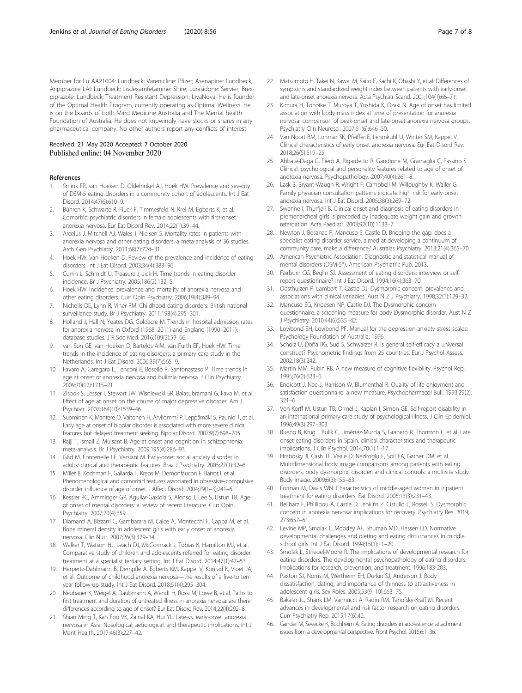<span id="page-6-0"></span>Member for Lu AA21004: Lundbeck; Varenicline: Pfizer; Asenapine: Lundbeck; Aripiprazole LAI: Lundbeck; Lisdexamfetamine: Shire; Lurasidone: Servier; Brexpiprazole: Lundbeck; Treatment Resistant Depression: LivaNova. He is founder of the Optimal Health Program, currently operating as Optimal Wellness. He is on the boards of both Mind Medicine Australia and The Mental health Foundation of Australia. He does not knowingly have stocks or shares in any pharmaceutical company. No other authors report any conflicts of interest.

# Received: 21 May 2020 Accepted: 7 October 2020 Published online: 04 November 2020

# References

- 1. Smink FR, van Hoeken D, Oldehinkel AJ, Hoek HW. Prevalence and severity of DSM-5 eating disorders in a community cohort of adolescents. Int J Eat Disord. 2014;47(6):610–9.
- Bühren K, Schwarte R, Fluck F, Timmesfeld N, Krei M, Egberts K, et al. Comorbid psychiatric disorders in female adolescents with first-onset anorexia nervosa. Eur Eat Disord Rev. 2014;22(1):39–44.
- 3. Arcelus J, Mitchell AJ, Wales J, Nielsen S. Mortality rates in patients with anorexia nervosa and other eating disorders: a meta-analysis of 36 studies. Arch Gen Psychiatry. 2011;68(7):724–31.
- 4. Hoek HW, Van Hoeken D. Review of the prevalence and incidence of eating disorders. Int J Eat Disord. 2003;34(4):383–96.
- 5. Currin L, Schmidt U, Treasure J, Jick H. Time trends in eating disorder incidence. Br J Psychiatry. 2005;186(2):132–5.
- 6. Hoek HW. Incidence, prevalence and mortality of anorexia nervosa and other eating disorders. Curr Opin Psychiatry. 2006;19(4):389–94.
- 7. Nicholls DE, Lynn R, Viner RM. Childhood eating disorders: British national surveillance study. Br J Psychiatry. 2011;198(4):295–301.
- 8. Holland J, Hall N, Yeates DG, Goldacre M. Trends in hospital admission rates for anorexia nervosa in Oxford (1968–2011) and England (1990–2011): database studies. J R Soc Med. 2016;109(2):59–66.
- van Son GE, van Hoeken D, Bartelds AIM, van Furth EF, Hoek HW. Time trends in the incidence of eating disorders: a primary care study in the Netherlands. Int J Eat Disord. 2006;39(7):565–9.
- 10. Favaro A, Caregaro L, Tenconi E, Bosello R, Santonastaso P. Time trends in age at onset of anorexia nervosa and bulimia nervosa. J Clin Psychiatry. 2009;70(12):1715–21.
- 11. Zisook S, Lesser I, Stewart JW, Wisniewski SR, Balasubramani G, Fava M, et al. Effect of age at onset on the course of major depressive disorder. Am J Psychiatr. 2007;164(10):1539–46.
- 12. Suominen K, Mantere O, Valtonen H, Arvilommi P, Leppämäki S, Paunio T, et al. Early age at onset of bipolar disorder is associated with more severe clinical features but delayed treatment seeking. Bipolar Disord. 2007;9(7):698–705.
- 13. Rajji T, Ismail Z, Mulsant B. Age at onset and cognition in schizophrenia: meta-analysis. Br J Psychiatry. 2009;195(4):286–93.
- 14. GBd M, Fontenelle LF, Versiani M. Early-onset social anxiety disorder in adults: clinical and therapeutic features. Braz J Psychiatry. 2005;27(1):32–6.
- 15. Millet B, Kochman F, Gallarda T, Krebs M, Demonfaucon F, Barrot I, et al. Phenomenological and comorbid features associated in obsessive–compulsive disorder: influence of age of onset. J Affect Disord. 2004;79(1–3):241–6.
- 16. Kessler RC, Amminger GP, Aguilar-Gaxiola S, Alonso J, Lee S, Ustun TB. Age of onset of mental disorders: a review of recent literature. Curr Opin Psychiatry. 2007;20(4):359.
- 17. Diamanti A, Bizzarri C, Gambarara M, Calce A, Montecchi F, Cappa M, et al. Bone mineral density in adolescent girls with early onset of anorexia nervosa. Clin Nutr. 2007;26(3):329–34.
- 18. Walker T, Watson HJ, Leach DJ, McCormack J, Tobias K, Hamilton MJ, et al. Comparative study of children and adolescents referred for eating disorder treatment at a specialist tertiary setting. Int J Eat Disord. 2014;47(1):47–53.
- 19. Herpertz-Dahlmann B, Dempfle A, Egberts KM, Kappel V, Konrad K, Vloet JA, et al. Outcome of childhood anorexia nervosa—the results of a five-to tenyear follow-up study. Int J Eat Disord. 2018;51(4):295–304.
- 20. Neubauer K, Weigel A, Daubmann A, Wendt H, Rossi M, Löwe B, et al. Paths to first treatment and duration of untreated illness in anorexia nervosa: are there differences according to age of onset? Eur Eat Disord Rev. 2014;22(4):292–8.
- 21. Shian Ming T, Kah Foo VK, Zainal KA, Hui YL. Late-vs. early-onset anorexia nervosa in Asia: Nosological, aetiological, and therapeutic implications. Int J Ment Health. 2017;46(3):227–42.
- 22. Matsumoto H, Takei N, Kawai M, Saito F, Kachi K, Ohashi Y, et al. Differences of symptoms and standardized weight index between patients with early-onset and late-onset anorexia nervosa. Acta Psychiatr Scand. 2001;104(1):66–71.
- 23. Kimura H, Tonoike T, Muroya T, Yoshida K, Ozaki N. Age of onset has limited association with body mass index at time of presentation for anorexia nervosa: comparison of peak-onset and late-onset anorexia nervosa groups. Psychiatry Clin Neurosci. 2007;61(6):646–50.
- 24. Van Noort BM, Lohmar SK, Pfeiffer E, Lehmkuhl U, Winter SM, Kappel V. Clinical characteristics of early onset anorexia nervosa. Eur Eat Disord Rev. 2018;26(5):519–25.
- 25. Abbate-Daga G, Pierò A, Rigardetto R, Gandione M, Gramaglia C, Fassino S. Clinical, psychological and personality features related to age of onset of anorexia nervosa. Psychopathology. 2007;40(4):261–8.
- 26. Lask B, Bryant-Waugh R, Wright F, Campbell M, Willoughby K, Waller G. Family physician consultation patterns indicate high risk for early-onset anorexia nervosa. Int J Eat Disord. 2005;38(3):269–72.
- 27. Swenne I, Thurfiell B. Clinical onset and diagnosis of eating disorders in premenarcheal girls is preceded by inadequate weight gain and growth retardation. Acta Paediatr. 2003;92(10):1133–7.
- 28. Newton J, Bosanac P, Mancuso S, Castle D. Bridging the gap: does a specialist eating disorder service, aimed at developing a continuum of community care, make a difference? Australas Psychiatry. 2013;21(4):365–70.
- 29. American Psychiatric Association. Diagnostic and statistical manual of mental disorders (DSM-5®). American Psychiatric Pub; 2013.
- 30. Fairburn CG, Beglin SJ. Assessment of eating disorders: interview or selfreport questionnaire? Int J Eat Disord. 1994;16(4):363–70.
- 31. Oosthuizen P, Lambert T, Castle DJ. Dysmorphic concern: prevalence and associations with clinical variables. Aust N Z J Psychiatry. 1998;32(1):129–32.
- 32. Mancuso SG, Knoesen NP, Castle DJ. The Dysmorphic concern questionnaire: a screening measure for body Dysmorphic disorder. Aust N Z J Psychiatry. 2010;44(6):535–42.
- 33. Lovibond SH, Lovibond PF. Manual for the depression anxiety stress scales: Psychology Foundation of Australia; 1996.
- 34. Scholz U, Doña BG, Sud S, Schwarzer R. Is general self-efficacy a universal construct? Psychometric findings from 25 countries. Eur J Psychol Assess. 2002;18(3):242.
- 35. Martin MM, Rubin RB. A new measure of cognitive flexibility. Psychol Rep. 1995;76(2):623–6.
- 36. Endicott J, Nee J, Harrison W, Blumenthal R. Quality of life enjoyment and satisfaction questionnaire: a new measure. Psychopharmacol Bull. 1993;29(2): 321–6.
- 37. Von Korff M, Ustun TB, Ormel J, Kaplan I, Simon GE. Self-report disability in an international primary care study of psychological illness. J Clin Epidemiol. 1996;49(3):297–303.
- 38. Bueno B, Krug I, Bulik C, Jiménez-Murcia S, Granero R, Thornton L, et al. Late onset eating disorders in Spain: clinical characteristics and therapeutic implications. J Clin Psychol. 2014;70(1):1–17.
- 39. Hrabosky JI, Cash TF, Veale D, Neziroglu F, Soll EA, Garner DM, et al. Multidimensional body image comparisons among patients with eating disorders, body dysmorphic disorder, and clinical controls: a multisite study. Body Image. 2009;6(3):155–63.
- 40. Forman M, Davis WN. Characteristics of middle-aged women in inpatient treatment for eating disorders. Eat Disord. 2005;13(3):231–43.
- 41. Beilharz F, Phillipou A, Castle D, Jenkins Z, Cistullo L, Rossell S. Dysmorphic concern in anorexia nervosa: implications for recovery. Psychiatry Res. 2019; 273:657–61.
- 42. Levine MP, Smolak L, Moodey AF, Shuman MD, Hessen LD. Normative developmental challenges and dieting and eating disturbances in middle school girls. Int J Eat Disord. 1994;15(1):11–20.
- 43. Smolak L, Striegel-Moore R. The implications of developmental research for eating disorders. The developmental psychopathology of eating disorders: Implications for research, prevention, and treatment. 1996:183-203.
- 44. Paxton SJ, Norris M, Wertheim EH, Durkin SJ, Anderson J. Body dissatisfaction, dating, and importance of thinness to attractiveness in adolescent girls. Sex Roles. 2005;53(9–10):663–75.
- 45. Bakalar JL, Shank LM, Vannucci A, Radin RM, Tanofsky-Kraff M. Recent advances in developmental and risk factor research on eating disorders. Curr Psychiatry Rep. 2015;17(6):42.
- 46. Gander M, Sevecke K, Buchheim A. Eating disorders in adolescence: attachment issues from a developmental perspective. Front Psychol. 2015;6:1136.